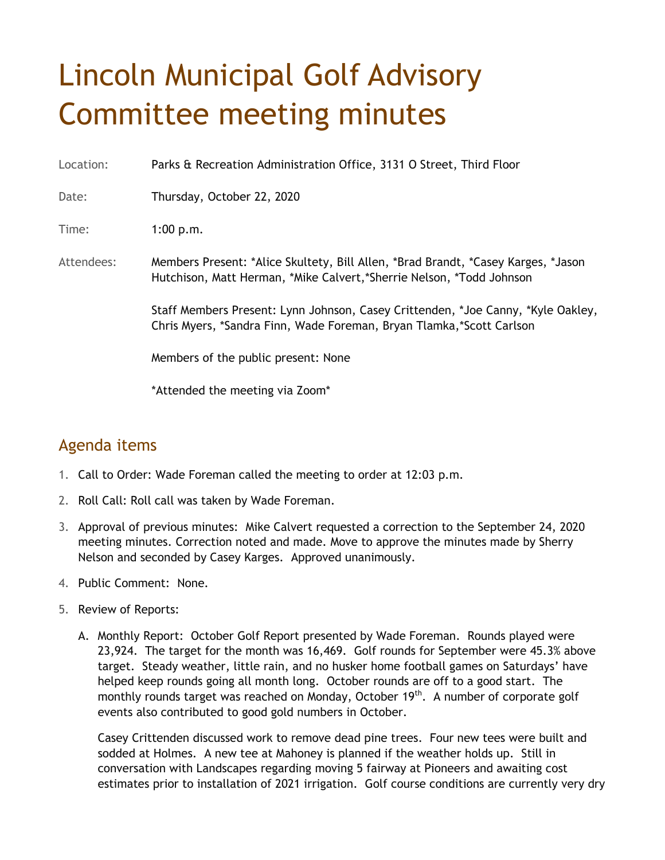## Lincoln Municipal Golf Advisory Committee meeting minutes

Location: Parks & Recreation Administration Office, 3131 O Street, Third Floor

Date: Thursday, October 22, 2020

Time: 1:00 p.m.

Attendees: Members Present: \*Alice Skultety, Bill Allen, \*Brad Brandt, \*Casey Karges, \*Jason Hutchison, Matt Herman, \*Mike Calvert,\*Sherrie Nelson, \*Todd Johnson

> Staff Members Present: Lynn Johnson, Casey Crittenden, \*Joe Canny, \*Kyle Oakley, Chris Myers, \*Sandra Finn, Wade Foreman, Bryan Tlamka,\*Scott Carlson

Members of the public present: None

\*Attended the meeting via Zoom\*

## Agenda items

- 1. Call to Order: Wade Foreman called the meeting to order at 12:03 p.m.
- 2. Roll Call: Roll call was taken by Wade Foreman.
- 3. Approval of previous minutes: Mike Calvert requested a correction to the September 24, 2020 meeting minutes. Correction noted and made. Move to approve the minutes made by Sherry Nelson and seconded by Casey Karges. Approved unanimously.
- 4. Public Comment: None.
- 5. Review of Reports:
	- A. Monthly Report: October Golf Report presented by Wade Foreman. Rounds played were 23,924. The target for the month was 16,469. Golf rounds for September were 45.3% above target. Steady weather, little rain, and no husker home football games on Saturdays' have helped keep rounds going all month long. October rounds are off to a good start. The monthly rounds target was reached on Monday, October 19<sup>th</sup>. A number of corporate golf events also contributed to good gold numbers in October.

Casey Crittenden discussed work to remove dead pine trees. Four new tees were built and sodded at Holmes. A new tee at Mahoney is planned if the weather holds up. Still in conversation with Landscapes regarding moving 5 fairway at Pioneers and awaiting cost estimates prior to installation of 2021 irrigation. Golf course conditions are currently very dry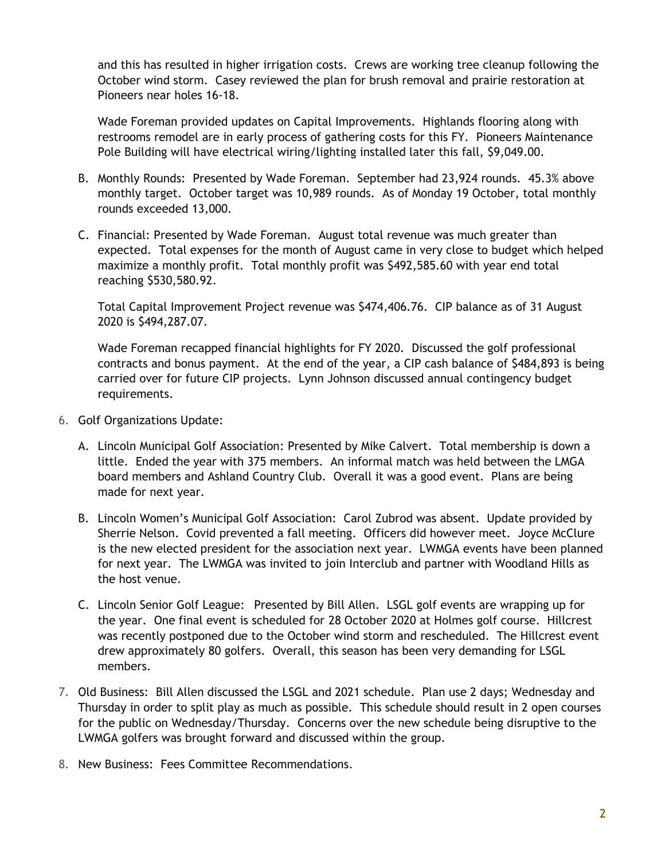and this has resulted in higher irrigation costs. Crews are working tree cleanup following the October wind storm. Casey reviewed the plan for brush removal and prairie restoration at Pioneers near holes 16-18.

Wade Foreman provided updates on Capital Improvements. Highlands flooring along with restrooms remodel are in early process of gathering costs for this FY. Pioneers Maintenance Pole Building will have electrical wiring/lighting installed later this fall, \$9,049.00.

- B. Monthly Rounds: Presented by Wade Foreman. September had 23,924 rounds. 45.3% above monthly target. October target was 10,989 rounds. As of Monday 19 October, total monthly rounds exceeded 13,000.
- C. Financial: Presented by Wade Foreman. August total revenue was much greater than expected. Total expenses for the month of August came in very close to budget which helped maximize a monthly profit. Total monthly profit was \$492,585.60 with year end total reaching \$530,580.92.

Total Capital Improvement Project revenue was \$474,406.76. CIP balance as of 31 August 2020 is \$494,287.07.

Wade Foreman recapped financial highlights for FY 2020. Discussed the golf professional contracts and bonus payment. At the end of the year, a CIP cash balance of \$484,893 is being carried over for future CIP projects. Lynn Johnson discussed annual contingency budget requirements.

- 6. Golf Organizations Update:
	- A. Lincoln Municipal Golf Association: Presented by Mike Calvert. Total membership is down a little. Ended the year with 375 members. An informal match was held between the LMGA board members and Ashland Country Club. Overall it was a good event. Plans are being made for next year.
	- B. Lincoln Women's Municipal Golf Association: Carol Zubrod was absent. Update provided by Sherrie Nelson. Covid prevented a fall meeting. Officers did however meet. Joyce McClure is the new elected president for the association next year. LWMGA events have been planned for next year. The LWMGA was invited to join Interclub and partner with Woodland Hills as the host venue.
	- C. Lincoln Senior Golf League: Presented by Bill Allen. LSGL golf events are wrapping up for the year. One final event is scheduled for 28 October 2020 at Holmes golf course. Hillcrest was recently postponed due to the October wind storm and rescheduled. The Hillcrest event drew approximately 80 golfers. Overall, this season has been very demanding for LSGL members.
- 7. Old Business: Bill Allen discussed the LSGL and 2021 schedule. Plan use 2 days; Wednesday and Thursday in order to split play as much as possible. This schedule should result in 2 open courses for the public on Wednesday/Thursday. Concerns over the new schedule being disruptive to the LWMGA golfers was brought forward and discussed within the group.
- 8. New Business: Fees Committee Recommendations.